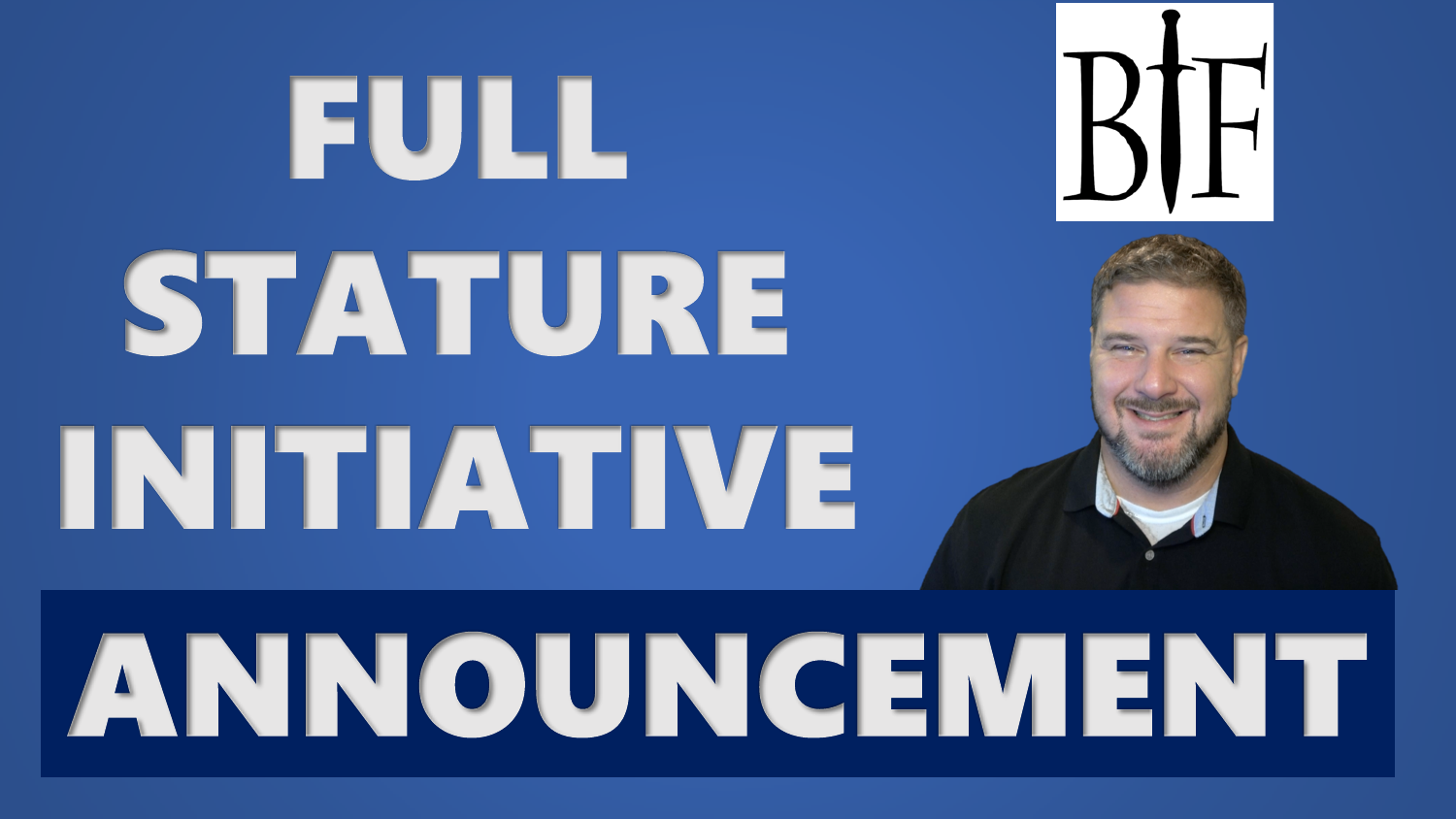

## ANNOUNCEMENT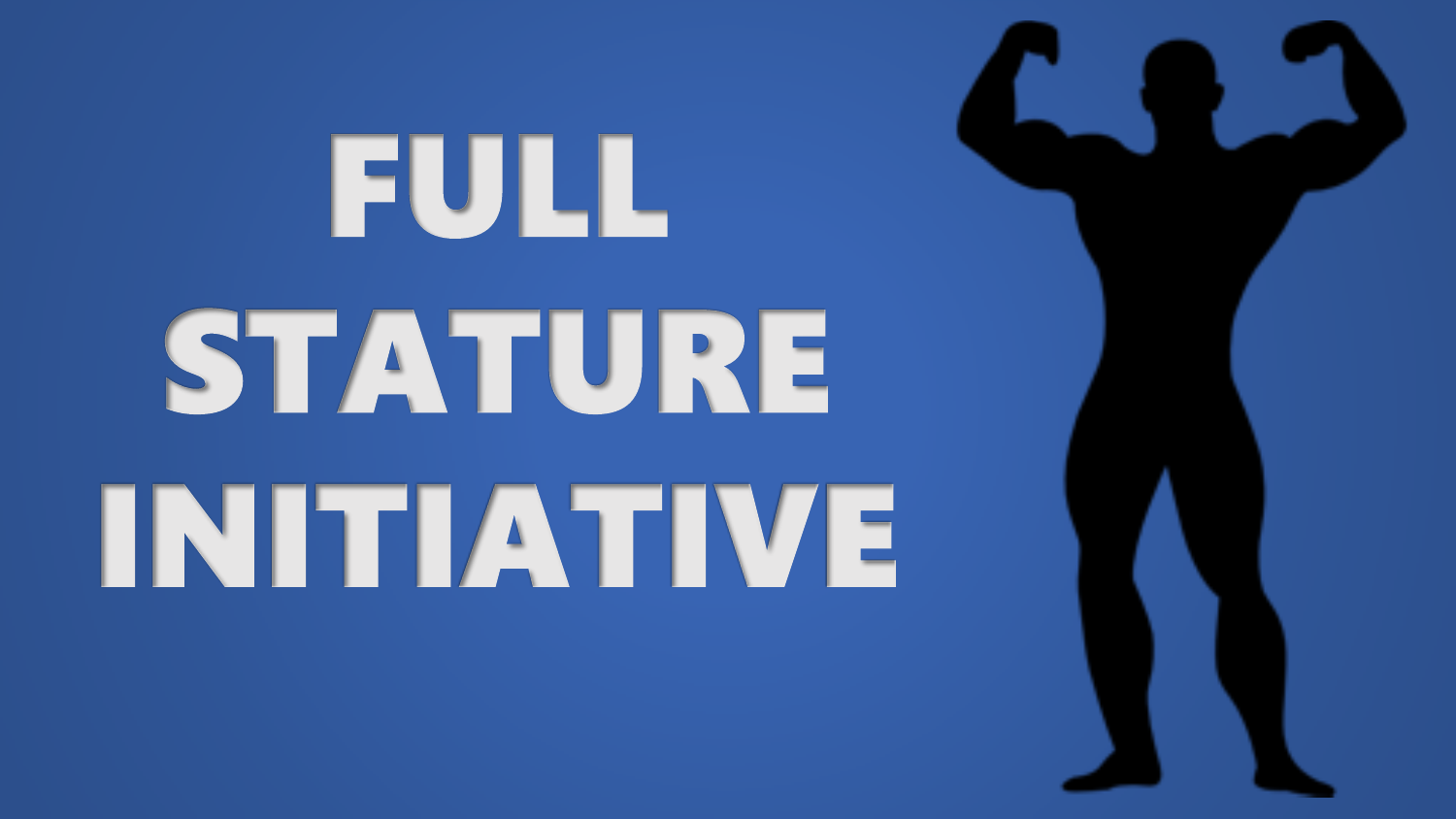# FULL STATURE INITIATIVE

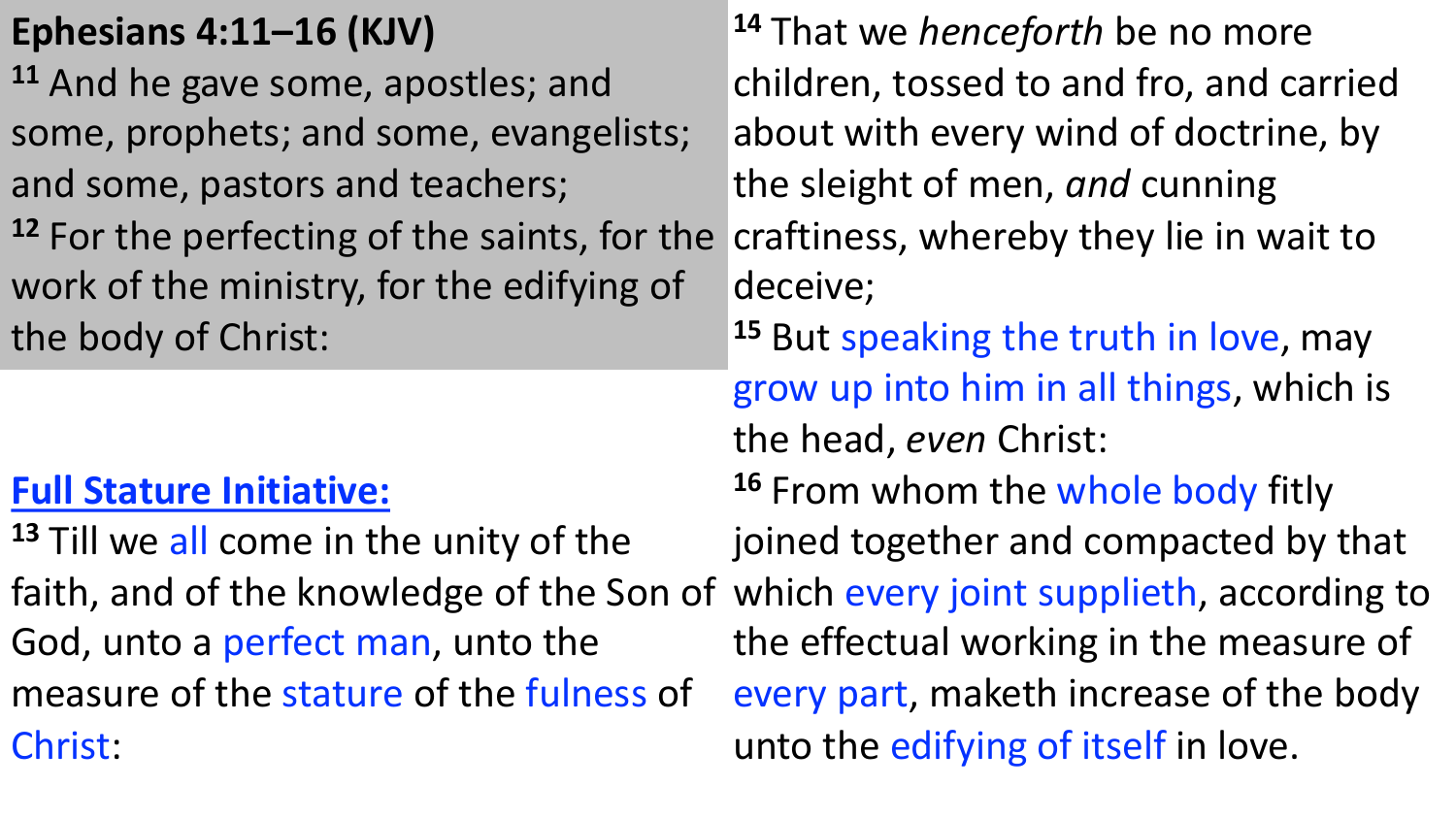## **Ephesians 4:11–16 (KJV)**

**<sup>11</sup>** And he gave some, apostles; and some, prophets; and some, evangelists; and some, pastors and teachers;

**<sup>12</sup>** For the perfecting of the saints, for the work of the ministry, for the edifying of the body of Christ:

## **Full Stature Initiative:**

**<sup>13</sup>** Till we all come in the unity of the God, unto a perfect man, unto the measure of the stature of the fulness of Christ:

faith, and of the knowledge of the Son of which every joint supplieth, according to **<sup>14</sup>** That we *henceforth* be no more children, tossed to and fro, and carried about with every wind of doctrine, by the sleight of men, *and* cunning craftiness, whereby they lie in wait to deceive; **<sup>15</sup>** But speaking the truth in love, may grow up into him in all things, which is the head, *even* Christ: **<sup>16</sup>** From whom the whole body fitly joined together and compacted by that the effectual working in the measure of every part, maketh increase of the body unto the edifying of itself in love.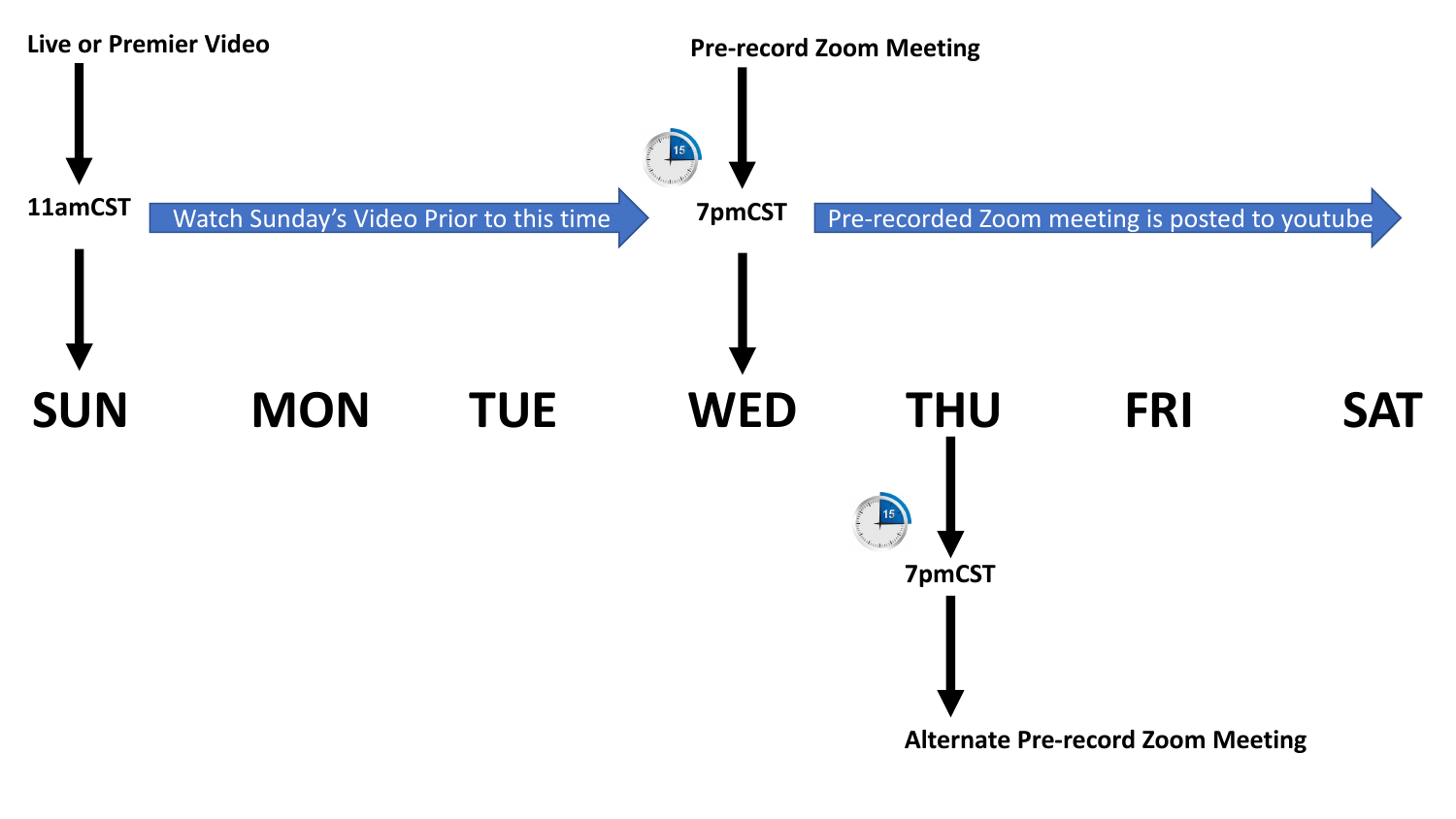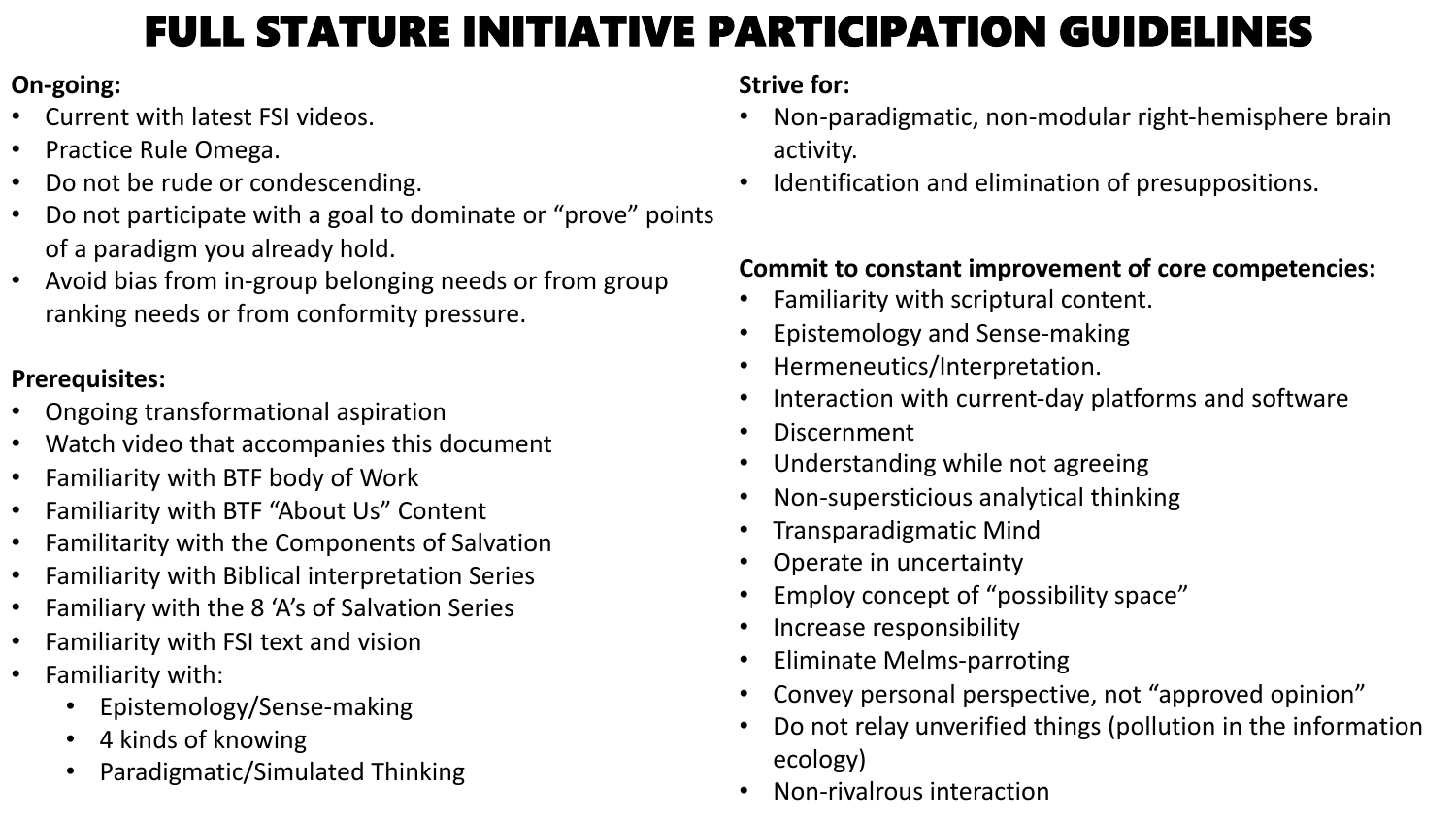## FULL STATURE INITIATIVE PARTICIPATION GUIDELINES

#### **On-going:**

- Current with latest FSI videos.
- Practice Rule Omega.
- Do not be rude or condescending.
- Do not participate with a goal to dominate or "prove" points of a paradigm you already hold.
- Avoid bias from in-group belonging needs or from group ranking needs or from conformity pressure.

#### **Prerequisites:**

- Ongoing transformational aspiration
- Watch video that accompanies this document
- Familiarity with BTF body of Work
- Familiarity with BTF "About Us" Content
- Familitarity with the Components of Salvation
- Familiarity with Biblical interpretation Series
- Familiary with the 8 'A's of Salvation Series
- Familiarity with FSI text and vision
- Familiarity with:
	- Epistemology/Sense-making
	- 4 kinds of knowing
	- Paradigmatic/Simulated Thinking

#### **Strive for:**

- Non-paradigmatic, non-modular right-hemisphere brain activity.
- Identification and elimination of presuppositions.

#### **Commit to constant improvement of core competencies:**

- Familiarity with scriptural content.
- Epistemology and Sense-making
- Hermeneutics/Interpretation.
- Interaction with current-day platforms and software
- Discernment
- Understanding while not agreeing
- Non-supersticious analytical thinking
- Transparadigmatic Mind
- Operate in uncertainty
- Employ concept of "possibility space"
- Increase responsibility
- Eliminate Melms-parroting
- Convey personal perspective, not "approved opinion"
- Do not relay unverified things (pollution in the information ecology)
- Non-rivalrous interaction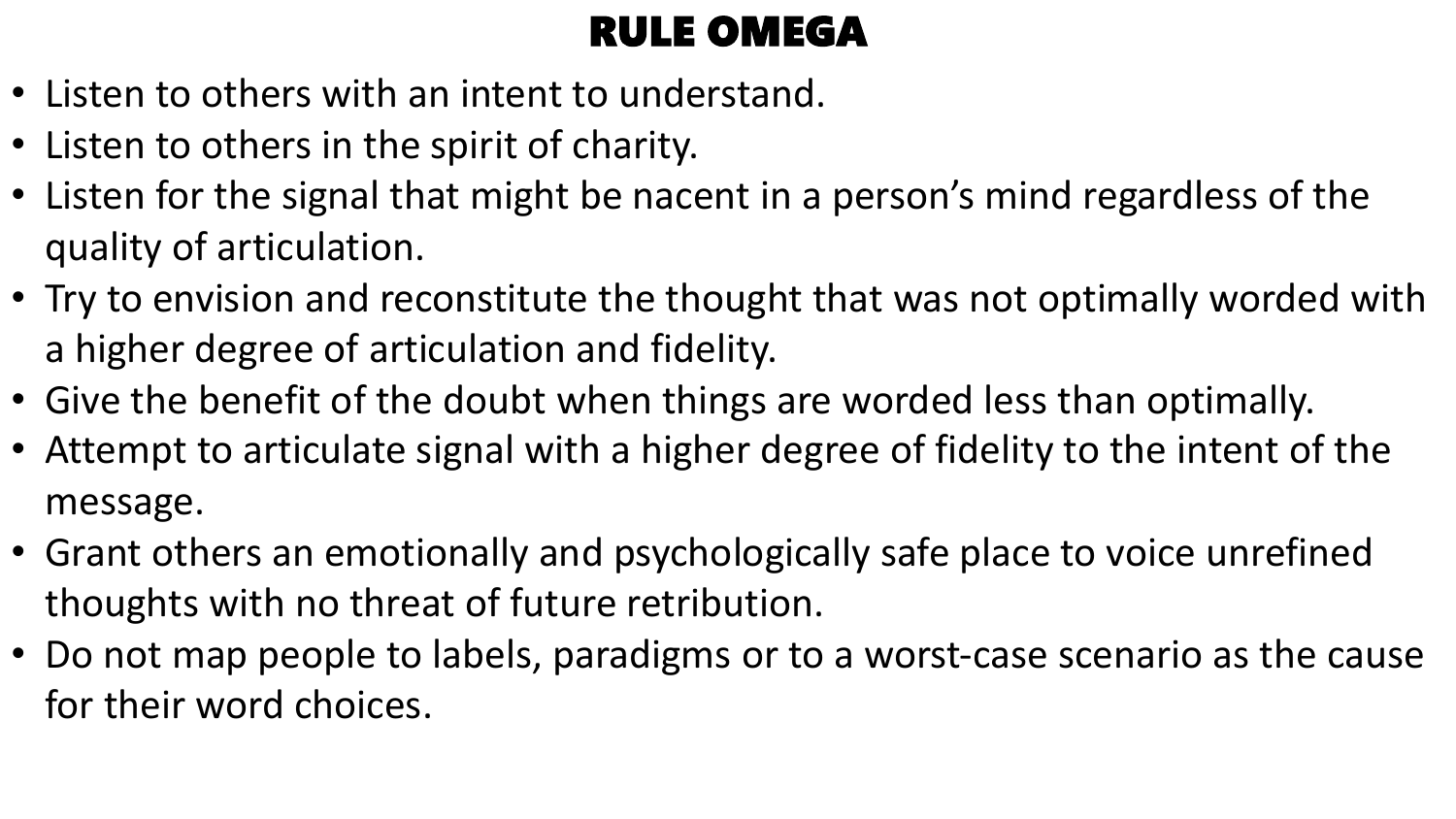## RULE OMEGA

- Listen to others with an intent to understand.
- Listen to others in the spirit of charity.
- Listen for the signal that might be nacent in a person's mind regardless of the quality of articulation.
- Try to envision and reconstitute the thought that was not optimally worded with a higher degree of articulation and fidelity.
- Give the benefit of the doubt when things are worded less than optimally.
- Attempt to articulate signal with a higher degree of fidelity to the intent of the message.
- Grant others an emotionally and psychologically safe place to voice unrefined thoughts with no threat of future retribution.
- Do not map people to labels, paradigms or to a worst-case scenario as the cause for their word choices.